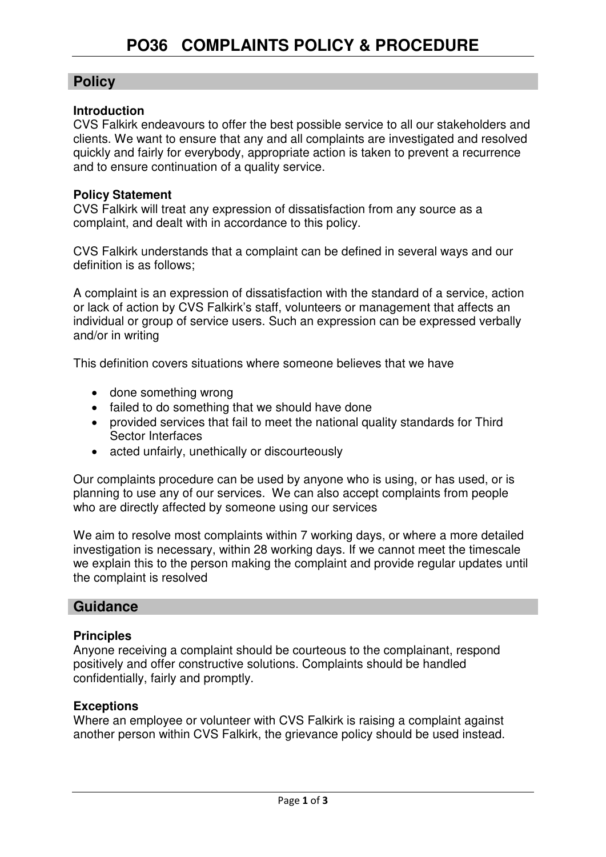## **Policy**

#### **Introduction**

CVS Falkirk endeavours to offer the best possible service to all our stakeholders and clients. We want to ensure that any and all complaints are investigated and resolved quickly and fairly for everybody, appropriate action is taken to prevent a recurrence and to ensure continuation of a quality service.

#### **Policy Statement**

CVS Falkirk will treat any expression of dissatisfaction from any source as a complaint, and dealt with in accordance to this policy.

CVS Falkirk understands that a complaint can be defined in several ways and our definition is as follows;

A complaint is an expression of dissatisfaction with the standard of a service, action or lack of action by CVS Falkirk's staff, volunteers or management that affects an individual or group of service users. Such an expression can be expressed verbally and/or in writing

This definition covers situations where someone believes that we have

- done something wrong
- failed to do something that we should have done
- provided services that fail to meet the national quality standards for Third Sector Interfaces
- acted unfairly, unethically or discourteously

Our complaints procedure can be used by anyone who is using, or has used, or is planning to use any of our services. We can also accept complaints from people who are directly affected by someone using our services

We aim to resolve most complaints within 7 working days, or where a more detailed investigation is necessary, within 28 working days. If we cannot meet the timescale we explain this to the person making the complaint and provide regular updates until the complaint is resolved

### **Guidance**

#### **Principles**

Anyone receiving a complaint should be courteous to the complainant, respond positively and offer constructive solutions. Complaints should be handled confidentially, fairly and promptly.

#### **Exceptions**

Where an employee or volunteer with CVS Falkirk is raising a complaint against another person within CVS Falkirk, the grievance policy should be used instead.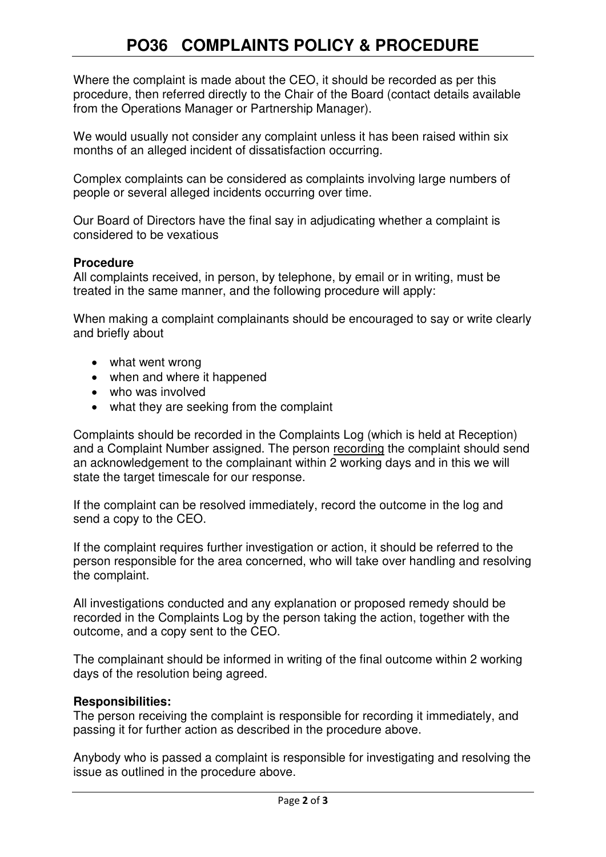# **PO36 COMPLAINTS POLICY & PROCEDURE**

Where the complaint is made about the CEO, it should be recorded as per this procedure, then referred directly to the Chair of the Board (contact details available from the Operations Manager or Partnership Manager).

We would usually not consider any complaint unless it has been raised within six months of an alleged incident of dissatisfaction occurring.

Complex complaints can be considered as complaints involving large numbers of people or several alleged incidents occurring over time.

Our Board of Directors have the final say in adjudicating whether a complaint is considered to be vexatious

#### **Procedure**

All complaints received, in person, by telephone, by email or in writing, must be treated in the same manner, and the following procedure will apply:

When making a complaint complainants should be encouraged to say or write clearly and briefly about

- what went wrong
- when and where it happened
- who was involved
- what they are seeking from the complaint

Complaints should be recorded in the Complaints Log (which is held at Reception) and a Complaint Number assigned. The person recording the complaint should send an acknowledgement to the complainant within 2 working days and in this we will state the target timescale for our response.

If the complaint can be resolved immediately, record the outcome in the log and send a copy to the CEO.

If the complaint requires further investigation or action, it should be referred to the person responsible for the area concerned, who will take over handling and resolving the complaint.

All investigations conducted and any explanation or proposed remedy should be recorded in the Complaints Log by the person taking the action, together with the outcome, and a copy sent to the CEO.

The complainant should be informed in writing of the final outcome within 2 working days of the resolution being agreed.

#### **Responsibilities:**

The person receiving the complaint is responsible for recording it immediately, and passing it for further action as described in the procedure above.

Anybody who is passed a complaint is responsible for investigating and resolving the issue as outlined in the procedure above.